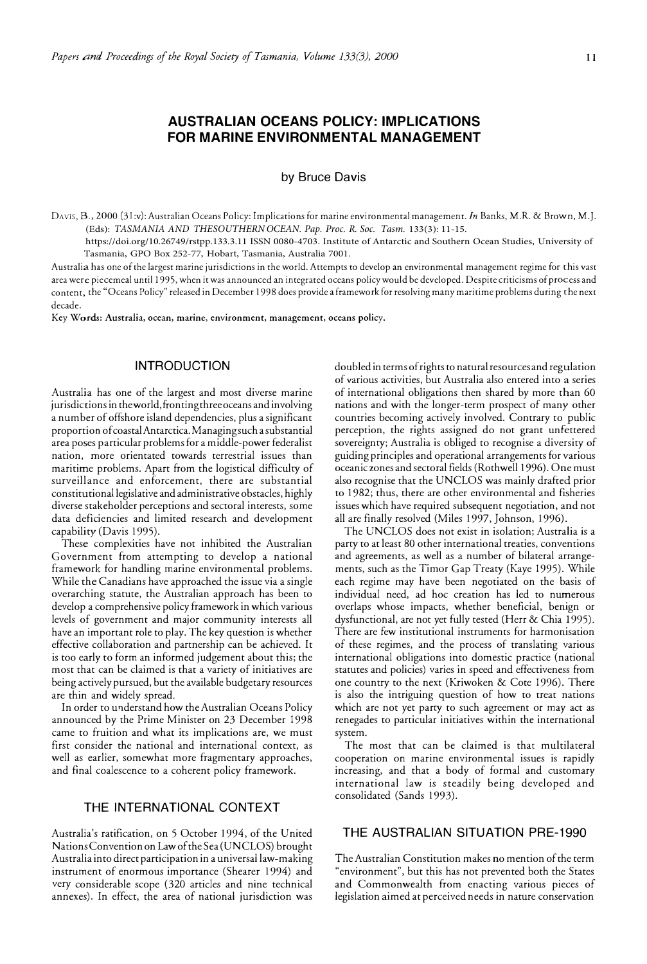# **AUSTRALIAN OCEANS POLICY: IMPLICATIONS FOR MARINE ENVIRONMENTAL MANAGEMENT**

**by Bruce Davis** 

DAVIS, B., 2000 (31 :v): Australian Oceans Policy: Implications for marine environmental management. *In* Banks, M.R. & Brown, M.J. (Eds): *TASMANIA AND THE SOUTHERN OCEAN. Pap. Proc. R. Soc. Tasm.* 133(3): 11-15.

https://doi.org/10.26749/rstpp.133.3.11 ISSN 0080-4703. Institute of Antarctic and Southern Ocean Studies, University of Tasmania, GPO Box 252-77, Hobart, Tasmania, Australia 7001.

Australia has one of the largest marine jurisdictions in the world. Attempts ro develop an environmental management regime for this vast area were piecemeal until 1995, when it was announced an integrated oceans policy would be developed. Despite criticisms of process and content, the "Oceans Policy" released in December 1998 does provide a framework for resolving many maritime problems during the next decade.

Key Words: Australia, ocean, marine, environment, management, oceans policy.

## **INTRODUCTION**

Australia has one of the largest and most diverse marine jurisdictions in the world, fronting three oceans and involving a number of offshore island dependencies, plus a significant proportion of coastalAntarctica. Managing such a substantial area poses particular problems for a middle-power federalist nation, more orientated towards terrestrial issues than maritime problems. Apart from the logistical difficulty of surveillance and enforcement, there are substantial constitutional legislative and administrative obstacles, highly diverse stakeholder perceptions and sectoral interests, some data deficiencies and limited research and development capability (Davis 1995).

These complexities have not inhibited the Australian Government from attempting to develop a national framework for handling marine environmental problems. While the Canadians have approached the issue via a single overarching statute, the Australian approach has been to develop a comprehensive policy framework in which various levels of government and major community interests all have an important role to play. The key question is whether effective collaboration and partnership can be achieved. It is too early to form an informed judgement about this; the most that can be claimed is that a variety of initiatives are being actively pursued, but the available budgetary resources are thin and widely spread.

In order to understand how the Australian Oceans Policy announced by the Prime Minister on 23 December 1998 came to fruition and what its implications are, we must first consider the national and international context, as well as earlier, somewhat more fragmentary approaches, and final coalescence to a coherent policy framework.

## **THE INTERNATIONAL CONTEXT**

Australia's ratification, on 5 October 1994, of the United Nations Convention on Law of the Sea (UNCLOS) brought Australia into direct participation in a universal law-making instrument of enormous importance (Shearer 1994) and very considerable scope (320 articles and nine technical annexes). In effect, the area of national jurisdiction was doubled in terms of rights to natural resources and regulation of various activities, but Australia also entered into a series of international obligations then shared by more than 60 nations and with the longer-term prospect of many other countries becoming actively involved. Contrary to public perception, the rights assigned do not grant unfettered sovereignty; Australia is obliged to recognise a diversity of guiding principles and operational arrangements for various oceanic zones and sectoral fields (Rothwell 1996). One must also recognise that the UNCLOS was mainly drafted prior to 1982; thus, there are other environmental and fisheries issues which have required subsequent negotiation, and not all are finally resolved (Miles 1997, Johnson, 1996).

The UNCLOS does not exist in isolation; Australia is a party to at least 80 other international treaties, conventions and agreements, as well as a number of bilateral arrangements, such as the *Timar* Gap Treaty (Kaye 1995). While each regime may have been negotiated on the basis of individual need, ad hoc creation has led to numerous overlaps whose impacts, whether beneficial, benign or dysfunctional, are not yet fully tested (Herr & Chia 1995). There are few institutional instruments for harmonisation of these regimes, and the process of translating various international obligations into domestic practice (national statutes and policies) varies in speed and effectiveness from one country to the next (Kriwoken & Cote 1996). There is also the intriguing question of how to treat nations which are not yet party to such agreement or may act as renegades to particular initiatives within the international system.

The most that can be claimed is that multilateral cooperation on marine environmental issues is rapidly increasing, and that a body of formal and customary international law is steadily being developed and consolidated (Sands 1993).

#### **THE AUSTRALIAN SITUATION PRE-1990**

The Australian Constitution makes no mention of the term "environment", but this has not prevented both the States and Commonwealth from enacting various pieces of legislation aimed at perceived needs in nature conservation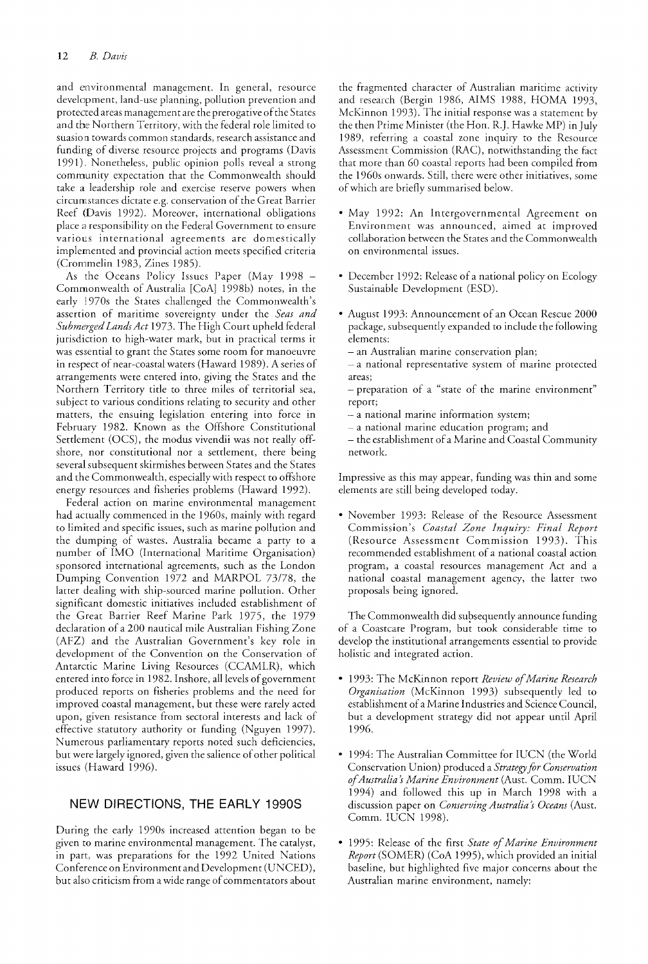and environmental managernenr. In general, resource development, land-use planning, pollution prevention and protected areas management are the prerogative of the States and the Northern Territory, with the federal role limited to suasion towards common standards, research assistance and funding of diverse resource projects and programs (Davis 1991). Nonetheless, public opinion polls reveal a strong community expectation that the Commonwealth should take a leadership role and exercise reserve powers when circumstances dictate e.g. conservation of the Great Barrier Reef (Davis 1992). Moreover, international obligations place a responsibility on the Federal Government to ensure various international agreements are domestically implemented and provincial action meets specified criteria (Crommelin 1983, Zines 1985).

As the Oceans Policy Issues Paper (May 1998 -Commonwealth of Australia [CoA] 1998b) notes, in the early 1970s the States challenged the Commonwealth's assertion of maritime sovereignty under the Seas and Submerged Lands Act 1973. The High Court upheld federal jurisdiction to high-water mark, but in practical terms it was essential to grant the States some room for manoeuvre in respect of near-coastal waters (Haward 1989). A series of arrangements were entered into, giving the States and the Northern Territory title to three miles of territorial sea, subject to various conditions relating to security and other matters, the ensuing legislation entering into force in February 1982. Known as the Offshore Constitutional Settlement (OCS), the modus vivendii was not really offshore, nor constitutional nor a settlement, there being several subsequent skirmishes between States and the States and the Commonwealth, especially with respect to offshore energy resources and fisheries problems (Haward 1992).

Federal action on marine environmental management had actually commenced in the *1960s,* mainly with regard to limited and specific issues, such as marine pollution and the dumping of wastes. Australia became a party to a number of IMO (International Maritime Organisation) sponsored international agreements, such as the London Dumping Convention 1972 and MARPOL 73/78, the latter dealing with ship-sourced marine pollution. Other significant domestic initiatives included establishment of the Great Barrier Reef Marine Park 1975, the 1979 declaration of a 200 nautical mile Australian Fishing Zone (AfZ) and the Australian Government's key role in development of the Convention on the Conservation of Antarctic Marine Living Resources (CCAMLR), which entered into force in 1982. Inshore, all levels of government produced reports on fisheries problems and the need for improved coastal management, but these were rarely acted upon, given resistance from sectoral interests and lack of effective statutory authority or funding (Nguyen 1997). Numerous parliamentary reports noted such deficiencies, bur were largely ignored, given the salience of other political issues (Haward 1996).

## NEW DIRECTIONS, THE EARLY 1990S

During the early 1990s increased attention began to be given to marine environmental management. The catalyst, in part, was preparations for the 1992 United Nations Conference on Environment and Development (UNCED), but also criticism from a wide range of commentators about the fragmented character of Australian maritime activity and research (Bergin 1986, AIMS 1988, HOMA 1993, McKinnon 1993). The initial response was a statement by the then Prime Minister (the Hon. R.J. Hawke MP) in July 1989, referring a coastal zone inquiry to the Resource Assessment Commission (RAC), notwithstanding the fact that more than 60 coastal reports had been compiled from the 1960s onwards. Still, there were other initiatives, some of which are briefly summarised below.

- May 1992: An Intergovernmental Agreement on Environment was announced, aimed at improved collaboration between the States and the Commonwealth on environmental issues.
- December 1992: Release of a national policy on Ecology Sustainable Development (ESD).
- August 1993: Announcement of an Ocean Rescue 2000 package, subsequently expanded to include the foilowing elements:
	- an Australian marine conservation plan;
	- $-$  a national representative system of marine protected areas;
	- preparation of a "state of the marine environment" report;
	- a national marine information system;
	- a national marine education program; and
	- the establishment of a Marine and Coastal Community network.

Impressive as this may appear, funding was thin and some elements are still being developed today.

• November 1993: Release of the Resource Assessment Commission's *Coastal Zone Inquiry: Final Report*  (Resource Assessment Commission 1993). This recommended establishment of a national coastal action program, a coastal resources management Act and a national coastal management agency, the latter two proposals being ignored.

The Commonwealth did subsequently announce funding of a Coastcare Program, but took considerable time to develop the institutional arrangements essential to provide holistic and integrated action.

- 1993: The McKinnon report *Review of Marine Research Organisation* (McKinnon 1993) subsequently led to establishment of a Marine Industries and Science Council, but a development strategy did not appear until April 1996.
- 1994: The Australian Committee for IUCN (the World Conservation Union) produced a *Strategy for Conservation of Australia's Marine Environment* (Aust. Comm. IUCN 1994) and followed this up in March 1998 with a discussion paper on *Conserving Australia's Oceans* (Aust. Comm. IUCN 1998).
- 1995: Release of the first *State of Marine Environment Report* (SOMER) (CoA 1995), which provided an initial baseline, but highlighted five major concerns about the Australian marine environment, namely: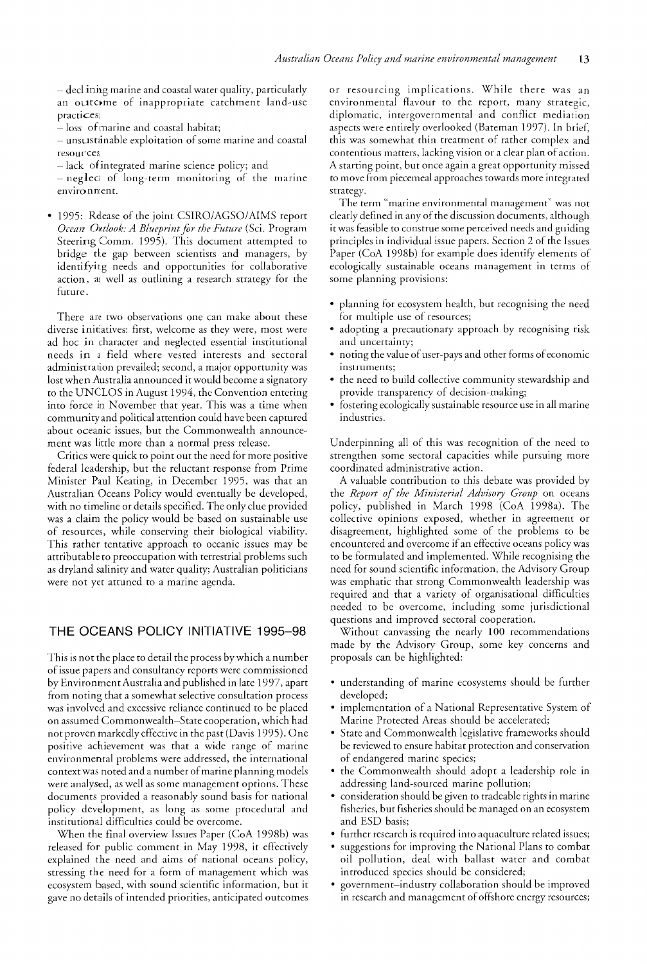- declining marine and coastal water quality, particularly an outcome of inappropriate catchment land-use practices

- loss of marine and coastal habitat;

\_. unsLlstainable exploitation of some marine and coastal resources;

-lack of integrated marine science policy; and

- neglect of long-term monitoring of the marine enviro nment.

• 1995: Release of the joint *CSIRO/AGSO/AIMS* report *Ocean Oittlook: A Blueprint for the Future* (Sci. Program Steering Comm. 1995). This document attempted to bridge the gap between scientists and managers, by identifying needs and opportunities for collaborative action, as well as outlining a research strategy for the future.

There are two observations one can make about these diverse initiatives: first, welcome as they were, most were ad hoc in character and neglected essential institutional needs in a field where vested interests and sectoral administration prevailed; second, a major opportunity was lost when Australia announced it would become a signatory to the UNCLOS in August 1994, the Convention entering into force in November that year. This was a time when community and political attention could have been captured about oceanic issues, but the Commonwealth announcement was little more than a normal press release.

Critics were quick to point out the need for more positive federal leadership, but the reluctant response from Prime Minister Paul Keating, in December 1995, was that an Australian Oceans Policy would eventually be developed, with no timeline or details specified. The only clue provided was a claim the policy would be based on sustainable use of resources, while conserving their biological viability. This rather tentative approach to oceanic issues may be attributable to preoccupation with terrestrial problems such as dryland salinity and water quality; Australian politicians were not yet attuned to a marine agenda.

## THE OCEANS POLICY INITIATIVE 1995-98

This is not the place to detail the process by which a number of issue papers and consultancy reports were commissioned by Environment Australia and published in late 1997, apart from noting that a somewhat selective consultation process was involved and excessive reliance continued to be placed on assumed Commonwealth·-State cooperation, which had not proven markedly effective in the past (Davis 1995). One positive achievement was that a wide range of marine environmental problems were addressed, the international context was noted and a number of marine planning models were analysed, as well as some management options. These documents provided a reasonably sound basis for national policy development, as long as some procedural and institutional difficulties could be overcome.

\lVhen the final overview Issues Paper (CoA 1998b) was released for public comment in May 1998, it effectively explained the need and aims of national oceans policy, stressing the need for a form of management which was ecosystem based, with sound scientific information, but it gave no details of intended priorities, anticipated outcomes or resourcing implications. While there was an environmental flavour to the report, many strategic, diplomatic, intergovernmental and conflict mediation aspects were entirely overlooked (Bateman 1997). In brief, this was somewhat thin treatment of rather complex and contentious matters, lacking vision or a clear plan of action. A starting point, but once again a great opportunity missed to move from piecemeal approaches towards more integrated strategy.

The term "marine environmental management" was not clearly defined in any of the discussion documents, although it was feasible to construe some perceived needs and guiding principles in individual issue papers. Section 2 of the Issues Paper (CoA 1998b) for example does identify elements of ecologically sustainable oceans management in terms of some planning provisions:

- planning for ecosystem health, but recognising the need for multiple use of resources;
- adopting a precautionary approach by recognising risk and uncertainty;
- o noting the value of user-pays and other forms of economic instruments;
- the need to build collective community stewardship and provide transparency of decision-making;
- fostering ecologically sustainable resource use in all marine industries.

Underpinning all of this was recognition of the need to strengthen some sectoral capacities while pursuing more coordinated administrative action.

A valuable contribution to this debate was provided by the *Report of the Ministerial Advisory Group* on oceans policy, published in March 1998 (CoA 1998a). The collective opinions exposed, whether in agreement or disagreement, highlighted some of the problems to be encountered and overcome if an effective oceans policy was to be formulated and implemented. While recognising the need for sound scientific information, the Advisory Group was emphatic that strong Commonwealth leadership was required and that a variety of organisational difficulties needed to be overcome, including some jurisdictional questions and improved sectoral cooperation.

Without canvassing the nearly 100 recommendations made by the Advisory Group, some key concerns and proposals can be highlighted:

- understanding of marine ecosystems should be further developed;
- implementation of a National Representative System of Marine Protected Areas should be accelerated;
- State and Commonwealth legislative frameworks should be reviewed to ensure habitat protection and conservation of endangered marine species;
- \* the Commonwealth should adopt a leadership role in addressing land-sourced marine pollution;
- consideration should be given to tradeable rights in marine fisheries, but fisheries should be managed on an ecosystem and ESD basis;
- further research is required into aquaculture related issues;
- suggestions for improving the National Plans to combat oil pollution, deal with ballast water and combat introduced species should be considered;
- government-industry collaboration should be improved in research and management of offshore energy resources;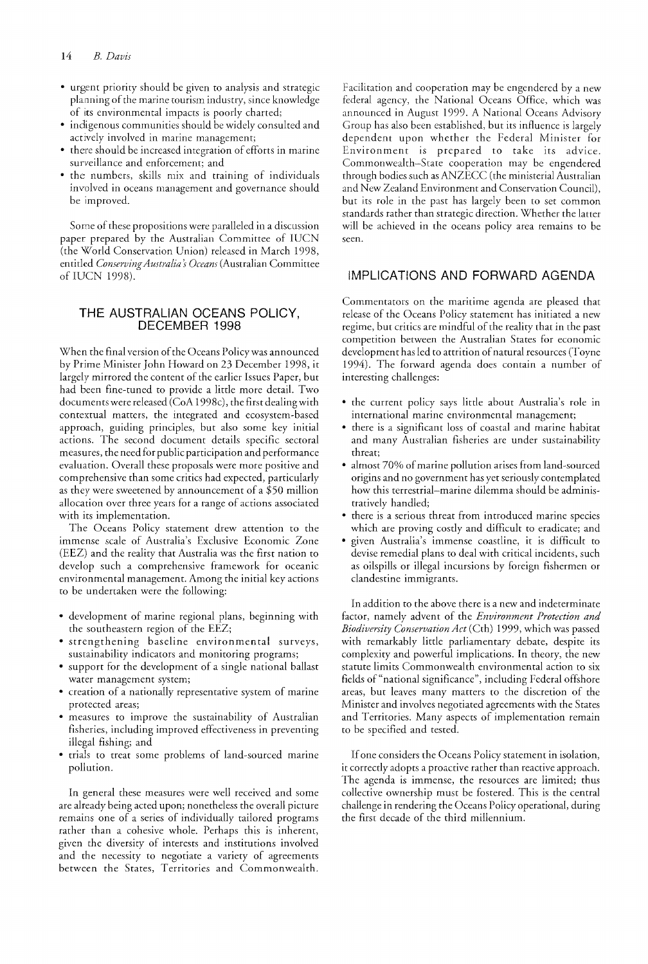- urgent priority should be given to analysis and strategic planning of the marine tourism industry, since knowledge of its environmental impacts is poody charted;
- indigenous communities should be widely consulted and actively involved in marine management;
- there should be increased integration of efforts in marine surveillance and enforcement; and
- the numbers, skills mix and training of individuals involved in oceans management and governance should be improved.

Some of these propositions were paralleled in a discussion paper prepared by the Ausrralian Committee of IUCN (the World Conservation Union) released in March 1998, entitled Conserving Australia's Oceans (Australian Committee of IUCN 1998).

## THE AUSTRALIAN OCEANS POLICY, DECEMBER 1998

When the final version of the Oceans Policy was announced by Prime Minister John Howard on 23 December 1998, it largely mirrored the content of the earlier Issues Paper, but had been fine-tuned to provide a little more detail. Two documents were released (CoA 1998c), the first dealing with contextual matters, the integrated and ecosystem-based approach, guiding principles, but also some key initial actions. The second document details specific sectoral measures, the need for public participation and performance evaluation. Overall these proposals were more positive and comprehensive than some critics had expected, particularly as they were sweetened by announcement of a \$50 million allocation over three years for a range of actions associated with its implementation.

The Oceans Policy statement drew attention to the immense scale of Australia's Exclusive Economic Zone (EEZ) and the reality that Australia was the first nation to develop such a comprehensive framework for oceanic environmental management. Among the initial key actions to be undertaken were the following:

- development of marine regional plans, beginning with the southeastern region of the EEZ;
- strengthening baseline environmental surveys, sustainability indicators and monitoring programs;
- <sup>~</sup>support for the development of a single national ballast water management system;
- creation of a nationally representative system of marine protected areas;
- measures to improve the sustainability of Australian fisheries, including improved effectiveness in preventing illegal fishing; and
- trials to treat some problems of land-sourced marine pollution.

In general these measures were well received and some are already being acted upon; nonetheless the overall picture remains one of a series of individually tailored programs rather than a cohesive whole. Perhaps this is inherent, given the diversiry of interests and institutions involved and the necessity to negotiate a variety of agreements between the States, Territories and Commonwealth.

Facilitation and cooperation may be engendered by a new federal agency, the National Oceans Office, which was announced in August 1999. A National Oceans Advisory Group has also been established, but its influence is largely dependent upon whether the Federal Minister for Environment is prepared to take its advice. Commonwealth-State cooperation may be engendered through bodies such as ANZECC (the ministerial Australian and New Zealand Environment and Conservation Council), but its role in the past has largeiy been to set common standards rather than strategic direction. Whether the latter will be achieved in the oceans policy area remains to be seen.

## IMPLICATIONS AND FORWARD AGENDA

Commentators on the maritime agenda are pleased that release of the Oceans Policy statement has initiated a new regime, but critics are mindful of the reality that in the past competition between the Australian States for economic development has led to attrition of natural resources (Toyne 1994). The forward agenda does contain a number of interesting challenges:

- the current policy says little about Australia's role in international marine environmental management;
- e there is a significant loss of coastal and marine habitat and many Australian fisheries are under sustainability threat;
- almost 70% of marine pollution arises from land-sourced origins and no governmem has yet seriously contemplated how this terrestrial-marine dilemma should be administratively handled;
- there is a serious threat from introduced marine species which are proving costly and difficult to eradicate; and
- given Australia's immense coastline, it is difficult to devise remedial plans to deal with critical incidents, such as oilspills or illegal incursions by foreign fishermen or clandestine immigrants.

In addition to the above there is a new and indeterminate factor, namely advent of the *Environment Protection and Biodiversity Conservation Act* (Cth) 1999, which was passed with remarkably little parliamentary debate, despite its complexity and powerful implications. In theory, the new statute limits Commonwealth environmental action to six fields of "national significance", including Federal offshore areas, but leaves many matters to the discretion of the Minister and involves negotiated agreements with the States and Territories. Many aspects of implementation remain to be specified and tested.

If one considers the Oceans Policy statement in isolation, it correctly adopts a proactive rather than reactive approach. The agenda is immense, the resources are limited; thus collective ownership must be fostered. This is the central challenge in rendering the Oceans Policy operational, during the first decade of the third millennium.